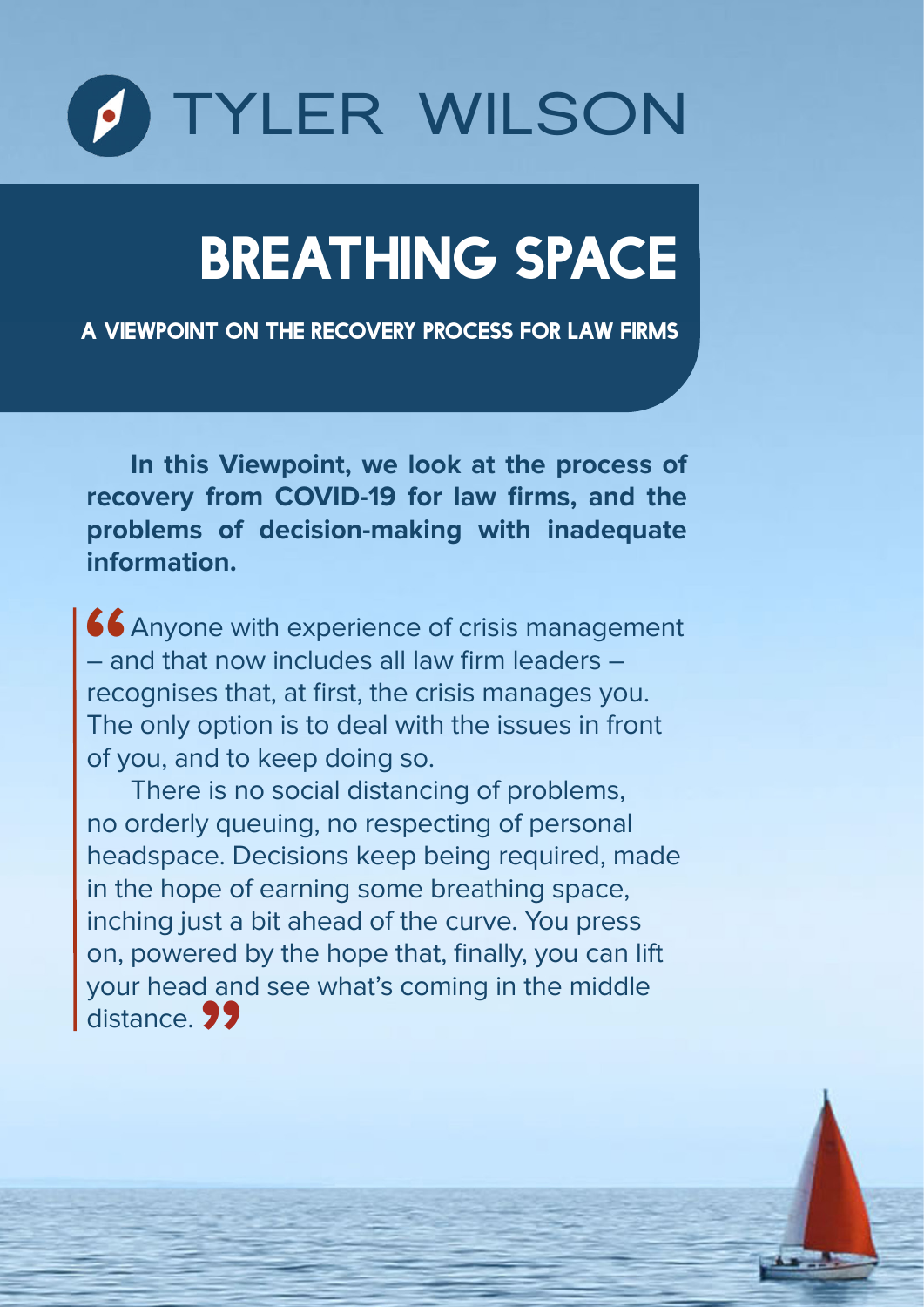

# BREATHING SPACE

A VIEWPOINT ON THE RECOVERY PROCESS FOR LAW FIRMS

**In this Viewpoint, we look at the process of recovery from COVID-19 for law firms, and the problems of decision-making with inadequate information.** 

Anyone with experience of crisis management – and that now includes all law firm leaders – recognises that, at first, the crisis manages you. The only option is to deal with the issues in front of you, and to keep doing so. **66**<br>- all<br>reco

There is no social distancing of problems, no orderly queuing, no respecting of personal headspace. Decisions keep being required, made in the hope of earning some breathing space, inching just a bit ahead of the curve. You press on, powered by the hope that, finally, you can lift your head and see what's coming in the middle distance. **99** eu<br>| an<br>**99**